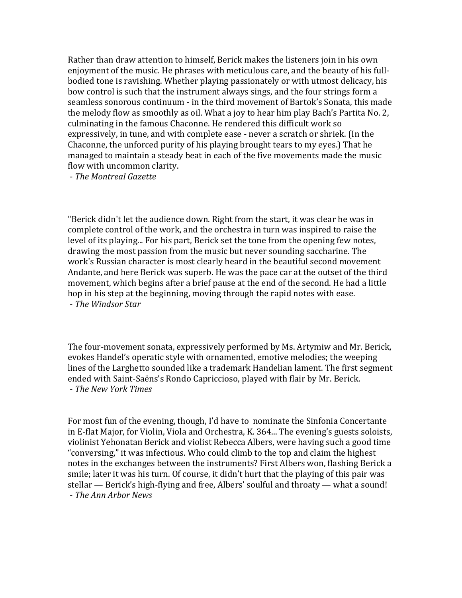Rather than draw attention to himself, Berick makes the listeners join in his own enjoyment of the music. He phrases with meticulous care, and the beauty of his fullbodied tone is ravishing. Whether playing passionately or with utmost delicacy, his bow control is such that the instrument always sings, and the four strings form a seamless sonorous continuum - in the third movement of Bartok's Sonata, this made the melody flow as smoothly as oil. What a joy to hear him play Bach's Partita No. 2, culminating in the famous Chaconne. He rendered this difficult work so expressively, in tune, and with complete ease - never a scratch or shriek. (In the Chaconne, the unforced purity of his playing brought tears to my eyes.) That he managed to maintain a steady beat in each of the five movements made the music flow with uncommon clarity.

- *The Montreal Gazette*

"Berick didn't let the audience down. Right from the start, it was clear he was in complete control of the work, and the orchestra in turn was inspired to raise the level of its playing... For his part, Berick set the tone from the opening few notes, drawing the most passion from the music but never sounding saccharine. The work's Russian character is most clearly heard in the beautiful second movement Andante, and here Berick was superb. He was the pace car at the outset of the third movement, which begins after a brief pause at the end of the second. He had a little hop in his step at the beginning, moving through the rapid notes with ease. - *The Windsor Star*

The four-movement sonata, expressively performed by Ms. Artymiw and Mr. Berick, evokes Handel's operatic style with ornamented, emotive melodies; the weeping lines of the Larghetto sounded like a trademark Handelian lament. The first segment ended with Saint-Saëns's Rondo Capriccioso, played with flair by Mr. Berick. - *The New York Times*

For most fun of the evening, though, I'd have to nominate the Sinfonia Concertante in E-flat Major, for Violin, Viola and Orchestra, K. 364... The evening's guests soloists, violinist Yehonatan Berick and violist Rebecca Albers, were having such a good time "conversing," it was infectious. Who could climb to the top and claim the highest notes in the exchanges between the instruments? First Albers won, flashing Berick a smile; later it was his turn. Of course, it didn't hurt that the playing of this pair was stellar  $-$  Berick's high-flying and free, Albers' soulful and throaty  $-$  what a sound! - *The Ann Arbor News*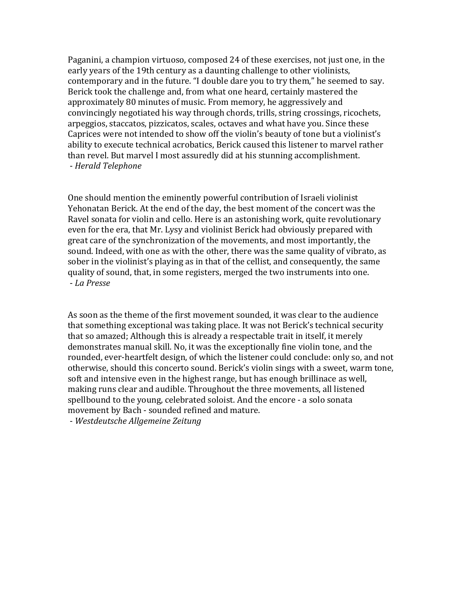Paganini, a champion virtuoso, composed 24 of these exercises, not just one, in the early years of the 19th century as a daunting challenge to other violinists, contemporary and in the future. "I double dare you to try them," he seemed to say. Berick took the challenge and, from what one heard, certainly mastered the approximately 80 minutes of music. From memory, he aggressively and convincingly negotiated his way through chords, trills, string crossings, ricochets, arpeggios, staccatos, pizzicatos, scales, octaves and what have you. Since these Caprices were not intended to show off the violin's beauty of tone but a violinist's ability to execute technical acrobatics, Berick caused this listener to marvel rather than revel. But marvel I most assuredly did at his stunning accomplishment. - *Herald Telephone*

One should mention the eminently powerful contribution of Israeli violinist Yehonatan Berick. At the end of the day, the best moment of the concert was the Ravel sonata for violin and cello. Here is an astonishing work, quite revolutionary even for the era, that Mr. Lysy and violinist Berick had obviously prepared with great care of the synchronization of the movements, and most importantly, the sound. Indeed, with one as with the other, there was the same quality of vibrato, as sober in the violinist's playing as in that of the cellist, and consequently, the same quality of sound, that, in some registers, merged the two instruments into one. - *La Presse*

As soon as the theme of the first movement sounded, it was clear to the audience that something exceptional was taking place. It was not Berick's technical security that so amazed; Although this is already a respectable trait in itself, it merely demonstrates manual skill. No, it was the exceptionally fine violin tone, and the rounded, ever-heartfelt design, of which the listener could conclude: only so, and not otherwise, should this concerto sound. Berick's violin sings with a sweet, warm tone, soft and intensive even in the highest range, but has enough brillinace as well. making runs clear and audible. Throughout the three movements, all listened spellbound to the young, celebrated soloist. And the encore - a solo sonata movement by Bach - sounded refined and mature.

- *Westdeutsche Allgemeine Zeitung*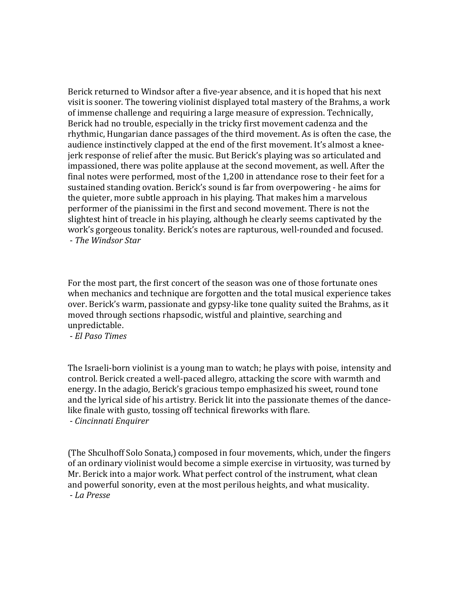Berick returned to Windsor after a five-year absence, and it is hoped that his next visit is sooner. The towering violinist displayed total mastery of the Brahms, a work of immense challenge and requiring a large measure of expression. Technically, Berick had no trouble, especially in the tricky first movement cadenza and the rhythmic, Hungarian dance passages of the third movement. As is often the case, the audience instinctively clapped at the end of the first movement. It's almost a kneeierk response of relief after the music. But Berick's playing was so articulated and impassioned, there was polite applause at the second movement, as well. After the final notes were performed, most of the  $1,200$  in attendance rose to their feet for a sustained standing ovation. Berick's sound is far from overpowering - he aims for the quieter, more subtle approach in his playing. That makes him a marvelous performer of the pianissimi in the first and second movement. There is not the slightest hint of treacle in his playing, although he clearly seems captivated by the work's gorgeous tonality. Berick's notes are rapturous, well-rounded and focused. - *The Windsor Star*

For the most part, the first concert of the season was one of those fortunate ones when mechanics and technique are forgotten and the total musical experience takes over. Berick's warm, passionate and gypsy-like tone quality suited the Brahms, as it moved through sections rhapsodic, wistful and plaintive, searching and unpredictable.

- *El Paso Times*

The Israeli-born violinist is a young man to watch; he plays with poise, intensity and control. Berick created a well-paced allegro, attacking the score with warmth and energy. In the adagio, Berick's gracious tempo emphasized his sweet, round tone and the lyrical side of his artistry. Berick lit into the passionate themes of the dancelike finale with gusto, tossing off technical fireworks with flare. - *Cincinnati Enquirer*

(The Shculhoff Solo Sonata,) composed in four movements, which, under the fingers of an ordinary violinist would become a simple exercise in virtuosity, was turned by Mr. Berick into a major work. What perfect control of the instrument, what clean and powerful sonority, even at the most perilous heights, and what musicality. - *La Presse*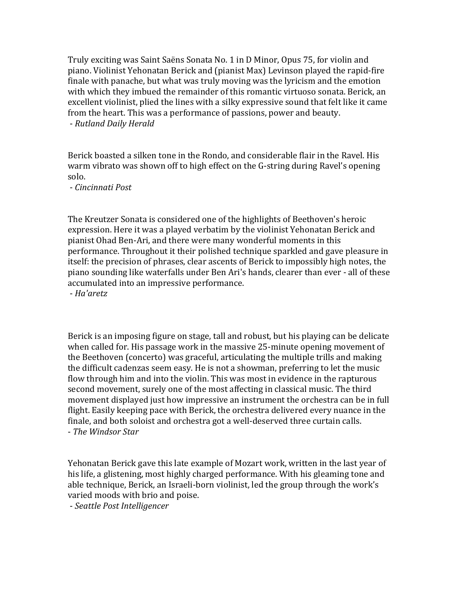Truly exciting was Saint Saëns Sonata No. 1 in D Minor, Opus 75, for violin and piano. Violinist Yehonatan Berick and (pianist Max) Levinson played the rapid-fire finale with panache, but what was truly moving was the lyricism and the emotion with which they imbued the remainder of this romantic virtuoso sonata. Berick, an excellent violinist, plied the lines with a silky expressive sound that felt like it came from the heart. This was a performance of passions, power and beauty. - *Rutland Daily Herald*

Berick boasted a silken tone in the Rondo, and considerable flair in the Ravel. His warm vibrato was shown off to high effect on the G-string during Ravel's opening solo.

- *Cincinnati Post*

The Kreutzer Sonata is considered one of the highlights of Beethoven's heroic expression. Here it was a played verbatim by the violinist Yehonatan Berick and pianist Ohad Ben-Ari, and there were many wonderful moments in this performance. Throughout it their polished technique sparkled and gave pleasure in itself: the precision of phrases, clear ascents of Berick to impossibly high notes, the piano sounding like waterfalls under Ben Ari's hands, clearer than ever - all of these accumulated into an impressive performance.

- *Ha'aretz*

Berick is an imposing figure on stage, tall and robust, but his playing can be delicate when called for. His passage work in the massive 25-minute opening movement of the Beethoven (concerto) was graceful, articulating the multiple trills and making the difficult cadenzas seem easy. He is not a showman, preferring to let the music flow through him and into the violin. This was most in evidence in the rapturous second movement, surely one of the most affecting in classical music. The third movement displayed just how impressive an instrument the orchestra can be in full flight. Easily keeping pace with Berick, the orchestra delivered every nuance in the finale, and both soloist and orchestra got a well-deserved three curtain calls. - *The Windsor Star*

Yehonatan Berick gave this late example of Mozart work, written in the last year of his life, a glistening, most highly charged performance. With his gleaming tone and able technique, Berick, an Israeli-born violinist, led the group through the work's varied moods with brio and poise.

- *Seattle Post Intelligencer*